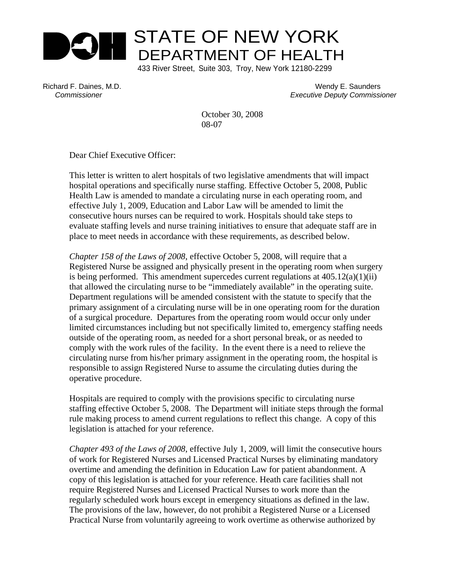

Richard F. Daines, M.D. Wendy E. Saunders  *Commissioner Executive Deputy Commissioner* 

> October 30, 2008 08-07

Dear Chief Executive Officer:

This letter is written to alert hospitals of two legislative amendments that will impact hospital operations and specifically nurse staffing. Effective October 5, 2008, Public Health Law is amended to mandate a circulating nurse in each operating room, and effective July 1, 2009, Education and Labor Law will be amended to limit the consecutive hours nurses can be required to work. Hospitals should take steps to evaluate staffing levels and nurse training initiatives to ensure that adequate staff are in place to meet needs in accordance with these requirements, as described below.

*Chapter 158 of the Laws of 2008*, effective October 5, 2008, will require that a Registered Nurse be assigned and physically present in the operating room when surgery is being performed. This amendment supercedes current regulations at  $405.12(a)(1)(ii)$ that allowed the circulating nurse to be "immediately available" in the operating suite. Department regulations will be amended consistent with the statute to specify that the primary assignment of a circulating nurse will be in one operating room for the duration of a surgical procedure. Departures from the operating room would occur only under limited circumstances including but not specifically limited to, emergency staffing needs outside of the operating room, as needed for a short personal break, or as needed to comply with the work rules of the facility. In the event there is a need to relieve the circulating nurse from his/her primary assignment in the operating room, the hospital is responsible to assign Registered Nurse to assume the circulating duties during the operative procedure.

Hospitals are required to comply with the provisions specific to circulating nurse staffing effective October 5, 2008. The Department will initiate steps through the formal rule making process to amend current regulations to reflect this change. A copy of this legislation is attached for your reference.

*Chapter 493 of the Laws of 2008*, effective July 1, 2009, will limit the consecutive hours of work for Registered Nurses and Licensed Practical Nurses by eliminating mandatory overtime and amending the definition in Education Law for patient abandonment. A copy of this legislation is attached for your reference. Heath care facilities shall not require Registered Nurses and Licensed Practical Nurses to work more than the regularly scheduled work hours except in emergency situations as defined in the law. The provisions of the law, however, do not prohibit a Registered Nurse or a Licensed Practical Nurse from voluntarily agreeing to work overtime as otherwise authorized by